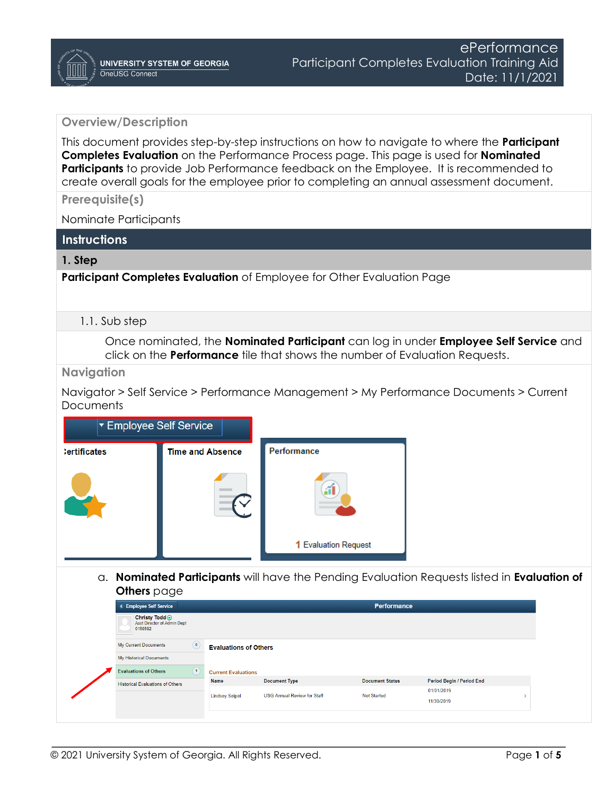# **Overview/Description**

This document provides step-by-step instructions on how to navigate to where the **Participant Completes Evaluation** on the Performance Process page. This page is used for **Nominated Participants** to provide Job Performance feedback on the Employee. It is recommended to create overall goals for the employee prior to completing an annual assessment document.

**Prerequisite(s)**

Nominate Participants

# **Instructions**

# **1. Step**

**Participant Completes Evaluation** of Employee for Other Evaluation Page

### 1.1. Sub step

Once nominated, the **Nominated Participant** can log in under **Employee Self Service** and click on the **Performance** tile that shows the number of Evaluation Requests.

# **Navigation**

Navigator > Self Service > Performance Management > My Performance Documents > Current **Documents** 



a. **Nominated Participants** will have the Pending Evaluation Requests listed in **Evaluation of Others** page

| < Employee Self Service                                        |                                                |                                    | <b>Performance</b>     |                           |  |
|----------------------------------------------------------------|------------------------------------------------|------------------------------------|------------------------|---------------------------|--|
| Christy Todd $\odot$<br>Asst Director of Admin Dept<br>0158582 |                                                |                                    |                        |                           |  |
| My Current Documents                                           | $\circledcirc$<br><b>Evaluations of Others</b> |                                    |                        |                           |  |
| My Historical Documents                                        |                                                |                                    |                        |                           |  |
| <b>Evaluations of Others</b>                                   | $\sqrt{1}$<br><b>Current Evaluations</b>       |                                    |                        |                           |  |
| <b>Historical Evaluations of Others</b>                        | <b>Name</b>                                    | <b>Document Type</b>               | <b>Document Status</b> | Period Begin / Period End |  |
|                                                                |                                                | <b>USG Annual Review for Staff</b> | <b>Not Started</b>     | 01/01/2019                |  |
|                                                                | <b>Lindsey Seipel</b>                          |                                    |                        | 11/30/2019                |  |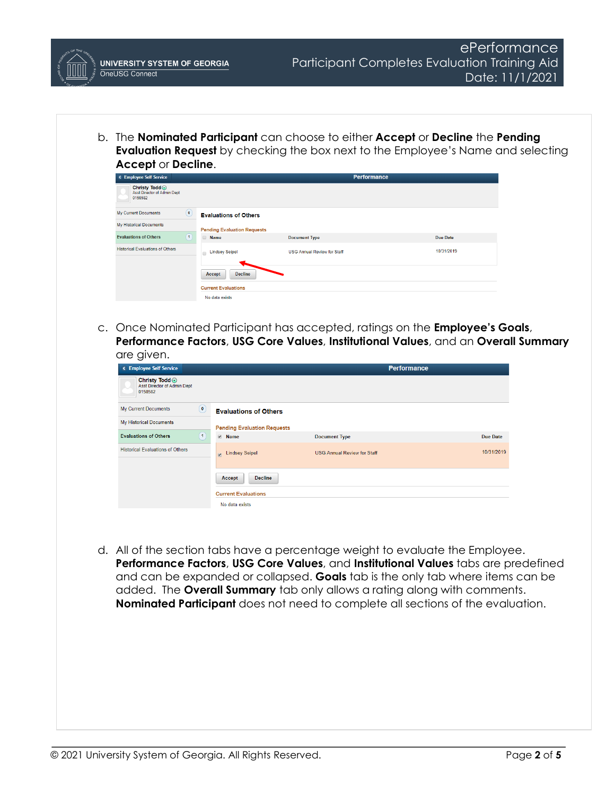b. The **Nominated Participant** can choose to either **Accept** or **Decline** the **Pending Evaluation Request** by checking the box next to the Employee's Name and selecting **Accept** or **Decline**.

| < Employee Self Service                                  |                |                                    |                                    | <b>Performance</b> |                 |
|----------------------------------------------------------|----------------|------------------------------------|------------------------------------|--------------------|-----------------|
| Christy Todd ⊙<br>Asst Director of Admin Dept<br>0158582 |                |                                    |                                    |                    |                 |
| <b>My Current Documents</b>                              | $\circledcirc$ | <b>Evaluations of Others</b>       |                                    |                    |                 |
| <b>My Historical Documents</b>                           |                | <b>Pending Evaluation Requests</b> |                                    |                    |                 |
| <b>Evaluations of Others</b>                             | $\boxed{1}$    | <b>Name</b>                        | <b>Document Type</b>               |                    | <b>Due Date</b> |
| <b>Historical Evaluations of Others</b>                  |                | <b>Lindsey Seipel</b><br>$\Box$    | <b>USG Annual Review for Staff</b> |                    | 10/31/2019      |
|                                                          |                |                                    |                                    |                    |                 |
|                                                          |                | <b>Decline</b><br>Accept           |                                    |                    |                 |
|                                                          |                | <b>Current Evaluations</b>         |                                    |                    |                 |
|                                                          |                | No data exists                     |                                    |                    |                 |

c. Once Nominated Participant has accepted, ratings on the **Employee's Goals**, **Performance Factors**, **USG Core Values**, **Institutional Values**, and an **Overall Summary** are given.

| < Employee Self Service                                          |                                    |                                    | <b>Performance</b> |
|------------------------------------------------------------------|------------------------------------|------------------------------------|--------------------|
| Christy Todd ⊙<br><b>Asst Director of Admin Dept</b><br>0158582  |                                    |                                    |                    |
| $\begin{pmatrix} 0 \end{pmatrix}$<br><b>My Current Documents</b> | <b>Evaluations of Others</b>       |                                    |                    |
| <b>My Historical Documents</b>                                   | <b>Pending Evaluation Requests</b> |                                    |                    |
| $\boxed{1}$<br><b>Evaluations of Others</b>                      | ■ Name                             | <b>Document Type</b>               | <b>Due Date</b>    |
| <b>Historical Evaluations of Others</b>                          | <b>De</b> Lindsey Seipel           | <b>USG Annual Review for Staff</b> | 10/31/2019         |
|                                                                  | <b>Decline</b><br>Accept           |                                    |                    |
|                                                                  | <b>Current Evaluations</b>         |                                    |                    |
|                                                                  | No data exists                     |                                    |                    |

d. All of the section tabs have a percentage weight to evaluate the Employee. **Performance Factors**, **USG Core Values**, and **Institutional Values** tabs are predefined and can be expanded or collapsed. **Goals** tab is the only tab where items can be added. The **Overall Summary** tab only allows a rating along with comments. **Nominated Participant** does not need to complete all sections of the evaluation.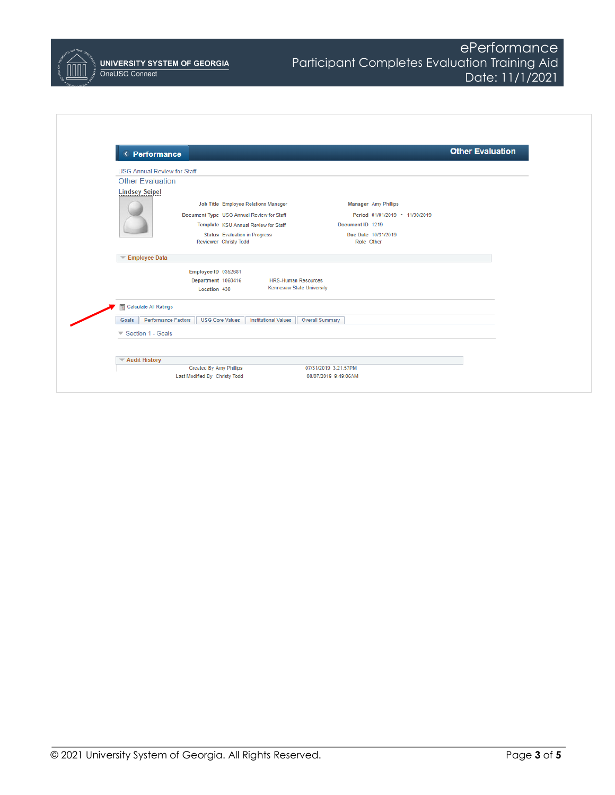| < Performance                      |                                                               |                                  |                                   | <b>Other Evaluation</b> |
|------------------------------------|---------------------------------------------------------------|----------------------------------|-----------------------------------|-------------------------|
| <b>USG Annual Review for Staff</b> |                                                               |                                  |                                   |                         |
| <b>Other Evaluation</b>            |                                                               |                                  |                                   |                         |
| <b>Lindsey Seipel</b>              |                                                               |                                  |                                   |                         |
|                                    | Job Title Employee Relations Manager                          |                                  | Manager Amy Phillips              |                         |
|                                    | Document Type USG Annual Review for Staff                     |                                  | Period 01/01/2019 - 11/30/2019    |                         |
|                                    | Template KSU Annual Review for Staff                          |                                  | Document ID 1219                  |                         |
|                                    | <b>Status</b> Evaluation in Progress<br>Reviewer Christy Todd |                                  | Due Date 10/31/2019<br>Role Other |                         |
| Employee Data                      |                                                               |                                  |                                   |                         |
|                                    | Employee ID 0352681                                           |                                  |                                   |                         |
|                                    | Department 1060416                                            | <b>HRS-Human Resources</b>       |                                   |                         |
|                                    | Location 430                                                  | <b>Kennesaw State University</b> |                                   |                         |
| Calculate All Ratings              |                                                               |                                  |                                   |                         |
| Goals                              | <b>Performance Factors</b><br><b>USG Core Values</b>          | <b>Institutional Values</b>      | <b>Overall Summary</b>            |                         |
| Section 1 - Goals                  |                                                               |                                  |                                   |                         |
|                                    |                                                               |                                  |                                   |                         |
| <b>▼ Audit History</b>             |                                                               |                                  |                                   |                         |
|                                    | <b>Created By Amy Phillips</b>                                |                                  | 07/31/2019 3:21:57PM              |                         |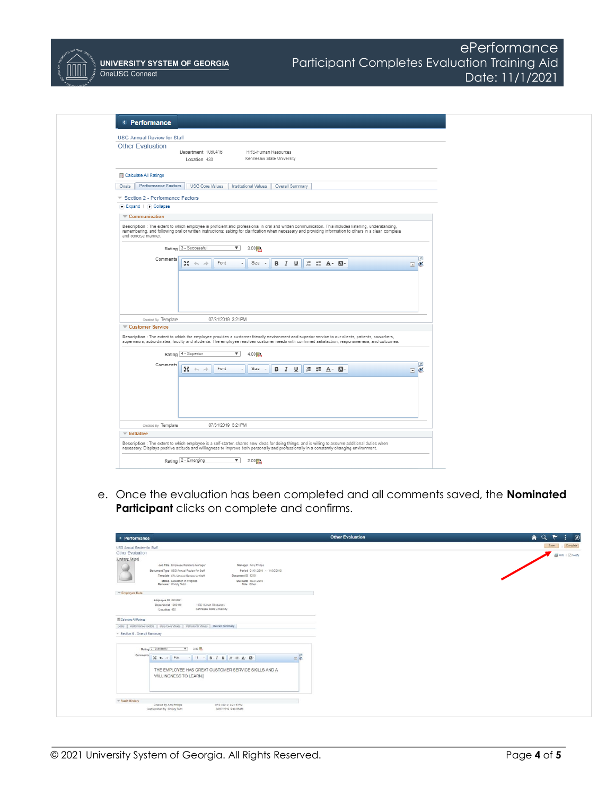

**UNIVERSITY SYSTEM OF GEORGIA** OneUSG Connect

# ePerformance Participant Completes Evaluation Training Aid Date: 11/1/2021

| <b>USG Annual Review for Staff</b>                   |                                                                                                                                                                                                                                                                                                                   |                           |                            |                 |                                                                      |  |                |            |
|------------------------------------------------------|-------------------------------------------------------------------------------------------------------------------------------------------------------------------------------------------------------------------------------------------------------------------------------------------------------------------|---------------------------|----------------------------|-----------------|----------------------------------------------------------------------|--|----------------|------------|
| <b>Other Evaluation</b>                              |                                                                                                                                                                                                                                                                                                                   |                           |                            |                 |                                                                      |  |                |            |
|                                                      | Department 1060416                                                                                                                                                                                                                                                                                                | Kennesaw State University | <b>HKS-Human Resources</b> |                 |                                                                      |  |                |            |
|                                                      | Location 430                                                                                                                                                                                                                                                                                                      |                           |                            |                 |                                                                      |  |                |            |
| Calculate All Ratings                                |                                                                                                                                                                                                                                                                                                                   |                           |                            |                 |                                                                      |  |                |            |
| <b>Performance Factors</b><br>Goals                  | USG Core Values   Institutional Values                                                                                                                                                                                                                                                                            |                           |                            | Overall Summary |                                                                      |  |                |            |
| $\blacktriangledown$ Section 2 - Performance Factors |                                                                                                                                                                                                                                                                                                                   |                           |                            |                 |                                                                      |  |                |            |
| C Expand   (a) Collapse                              |                                                                                                                                                                                                                                                                                                                   |                           |                            |                 |                                                                      |  |                |            |
| $\equiv$ Communication                               |                                                                                                                                                                                                                                                                                                                   |                           |                            |                 |                                                                      |  |                |            |
| and concise manner.                                  | Description : The extent to which employee is proficient and professional in oral and written communication. This includes listening, understanding,<br>remembering, and following oral or written instructions; asking for clarification when necessary and providing information to others in a clear, complete |                           |                            |                 |                                                                      |  |                |            |
|                                                      | Rating 3 - Successful                                                                                                                                                                                                                                                                                             | $\sqrt{3.00}$             |                            |                 |                                                                      |  |                |            |
| Comments                                             |                                                                                                                                                                                                                                                                                                                   |                           |                            |                 |                                                                      |  |                | $\sqrt{2}$ |
|                                                      | $x + 1$<br>Font                                                                                                                                                                                                                                                                                                   | Size -<br>$\;$            |                            |                 | <b>B</b> $I \perp \perp \perp \perp \perp \perp$ <b>A</b> - <b>A</b> |  | $\blacksquare$ |            |
|                                                      |                                                                                                                                                                                                                                                                                                                   |                           |                            |                 |                                                                      |  |                |            |
|                                                      |                                                                                                                                                                                                                                                                                                                   |                           |                            |                 |                                                                      |  |                |            |
| Created By Template                                  | 07/31/2019 3:21PM                                                                                                                                                                                                                                                                                                 |                           |                            |                 |                                                                      |  |                |            |
| Customer Service                                     |                                                                                                                                                                                                                                                                                                                   |                           |                            |                 |                                                                      |  |                |            |
|                                                      | Description : The extent to which the employee provides a customer friendly environment and superior service to our clients, patients, coworkers,<br>supervisors, subordinates, faculty and students. The employee resolves customer needs with confirmed satisfaction, responsiveness, and outcomes.             |                           |                            |                 |                                                                      |  |                |            |
|                                                      |                                                                                                                                                                                                                                                                                                                   | $\overline{\mathbf{v}}$   |                            |                 |                                                                      |  |                |            |
|                                                      | Rating 4 - Superior                                                                                                                                                                                                                                                                                               | 4.000                     |                            |                 |                                                                      |  |                |            |
| Comments                                             | $25 + 4$<br>Font                                                                                                                                                                                                                                                                                                  | Size -<br>$\tau$          |                            |                 | <b>B</b> <i>I</i> <b>U E E A</b> · <b>M</b> ·                        |  | $\Box$         | $\sqrt{2}$ |
|                                                      |                                                                                                                                                                                                                                                                                                                   |                           |                            |                 |                                                                      |  |                |            |
| Created By Template                                  | 07/31/2019 3:21PM                                                                                                                                                                                                                                                                                                 |                           |                            |                 |                                                                      |  |                |            |
| $\overline{\mathbf{v}}$ Initiative                   |                                                                                                                                                                                                                                                                                                                   |                           |                            |                 |                                                                      |  |                |            |
|                                                      | Description : The extent to which employee is a self-starter, shares new ideas for doing things, and is willing to assume additional duties when<br>necessary. Displays positive attitude and willingness to improve both personally and professionally in a constantly changing environment.                     |                           |                            |                 |                                                                      |  |                |            |

e. Once the evaluation has been completed and all comments saved, the **Nominated Participant** clicks on complete and confirms.

| < Performance                                                                               | <b>Other Evaluation</b> | A Q<br>$\ddot{\phantom{1}}$ |
|---------------------------------------------------------------------------------------------|-------------------------|-----------------------------|
| USG Annual Review for Staff                                                                 |                         | Save                        |
| Other Evaluation                                                                            |                         |                             |
| Lindsey Seipel<br>Job Title Employee Relations Manager<br>Manager Amy Philips               |                         |                             |
| Document Type USG Annual Review for Staff<br>Period 01/01/2019 - 11/30/2019                 |                         |                             |
| Document ID 1219<br>Template KSU Annual Review for Staff                                    |                         |                             |
| Due Date 10/31/2019<br>Status Evaluation in Progress<br>Reviewer Christy Todd<br>Role Other |                         |                             |
|                                                                                             |                         |                             |
| <b>Employee Data</b>                                                                        |                         |                             |
| Employee ID 0352681                                                                         |                         |                             |
| Department 1060416<br>HRS-Human Resources<br>Kennesaw State University<br>Location 430      |                         |                             |
|                                                                                             |                         |                             |
| Calculate All Ratings                                                                       |                         |                             |
| Goals   Performance Factors   USG Core Values   Institutional Values   Overall Summary      |                         |                             |
| T Section 5 - Overall Summary                                                               |                         |                             |
|                                                                                             |                         |                             |
| $\mathbf{v}$ 3.00<br>Rating 3 - Successful                                                  |                         |                             |
| Comments                                                                                    |                         |                             |
| $24 \nightharpoonup$ Font                                                                   | $\frac{1}{2}$           |                             |
| THE EMPLOYEE HAS GREAT CUSTOMER SERVICE SKILLS AND A                                        |                         |                             |
| <b>WILLINGNESS TO LEARN.</b>                                                                |                         |                             |
|                                                                                             |                         |                             |
|                                                                                             |                         |                             |
|                                                                                             |                         |                             |
|                                                                                             |                         |                             |
| <b>W Audit History</b>                                                                      |                         |                             |